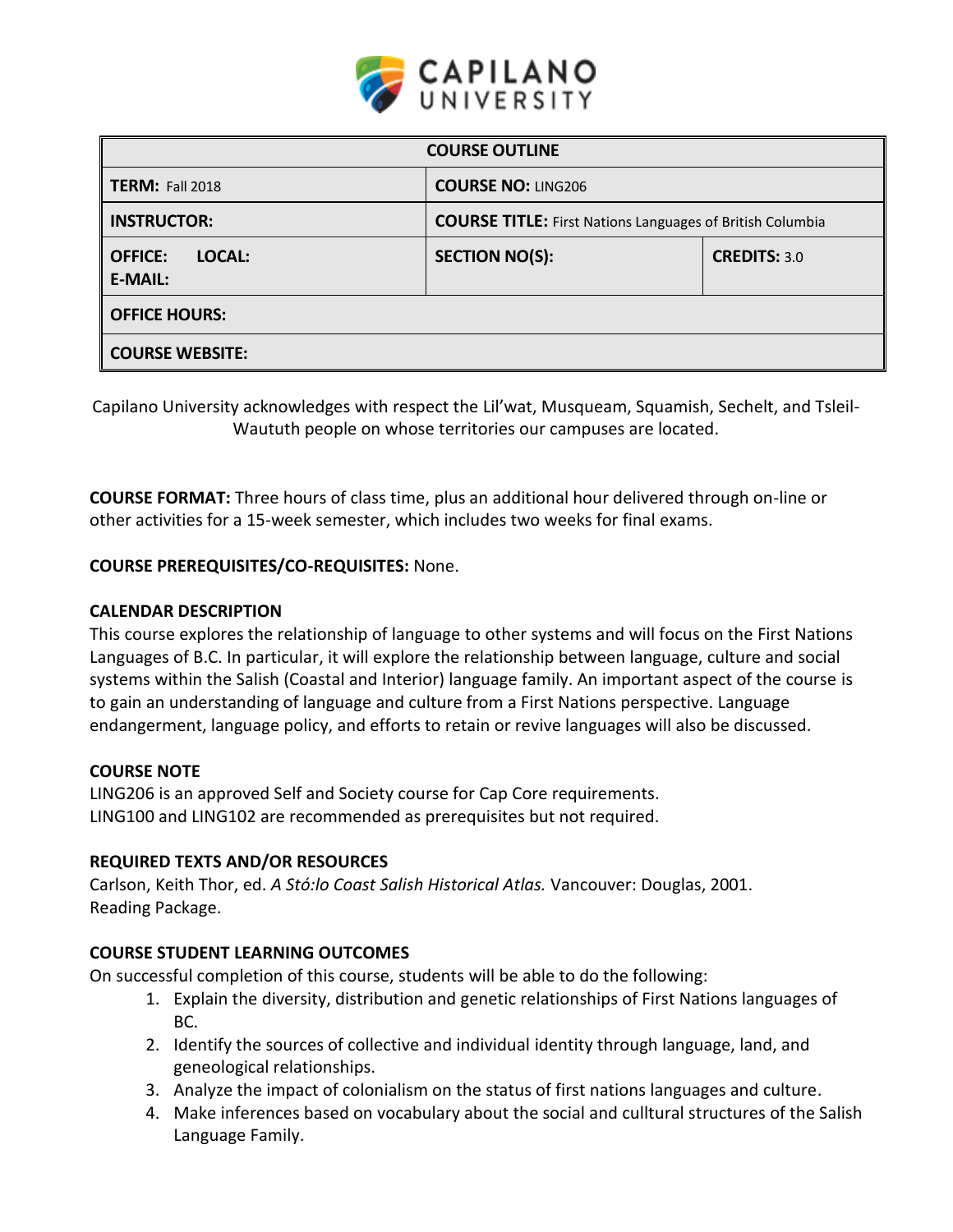

| <b>COURSE OUTLINE</b>                             |                                                                  |                     |  |
|---------------------------------------------------|------------------------------------------------------------------|---------------------|--|
| <b>TERM: Fall 2018</b>                            | <b>COURSE NO: LING206</b>                                        |                     |  |
| <b>INSTRUCTOR:</b>                                | <b>COURSE TITLE:</b> First Nations Languages of British Columbia |                     |  |
| <b>OFFICE:</b><br><b>LOCAL:</b><br><b>E-MAIL:</b> | <b>SECTION NO(S):</b>                                            | <b>CREDITS: 3.0</b> |  |
| <b>OFFICE HOURS:</b>                              |                                                                  |                     |  |
| <b>COURSE WEBSITE:</b>                            |                                                                  |                     |  |

Capilano University acknowledges with respect the Lil'wat, Musqueam, Squamish, Sechelt, and Tsleil-Waututh people on whose territories our campuses are located.

**COURSE FORMAT:** Three hours of class time, plus an additional hour delivered through on-line or other activities for a 15-week semester, which includes two weeks for final exams.

### **COURSE PREREQUISITES/CO-REQUISITES:** None.

#### **CALENDAR DESCRIPTION**

This course explores the relationship of language to other systems and will focus on the First Nations Languages of B.C. In particular, it will explore the relationship between language, culture and social systems within the Salish (Coastal and Interior) language family. An important aspect of the course is to gain an understanding of language and culture from a First Nations perspective. Language endangerment, language policy, and efforts to retain or revive languages will also be discussed.

#### **COURSE NOTE**

LING206 is an approved Self and Society course for Cap Core requirements. LING100 and LING102 are recommended as prerequisites but not required.

#### **REQUIRED TEXTS AND/OR RESOURCES**

Carlson, Keith Thor, ed. *A Stó:lo Coast Salish Historical Atlas.* Vancouver: Douglas, 2001. Reading Package.

#### **COURSE STUDENT LEARNING OUTCOMES**

On successful completion of this course, students will be able to do the following:

- 1. Explain the diversity, distribution and genetic relationships of First Nations languages of BC.
- 2. Identify the sources of collective and individual identity through language, land, and geneological relationships.
- 3. Analyze the impact of colonialism on the status of first nations languages and culture.
- 4. Make inferences based on vocabulary about the social and culltural structures of the Salish Language Family.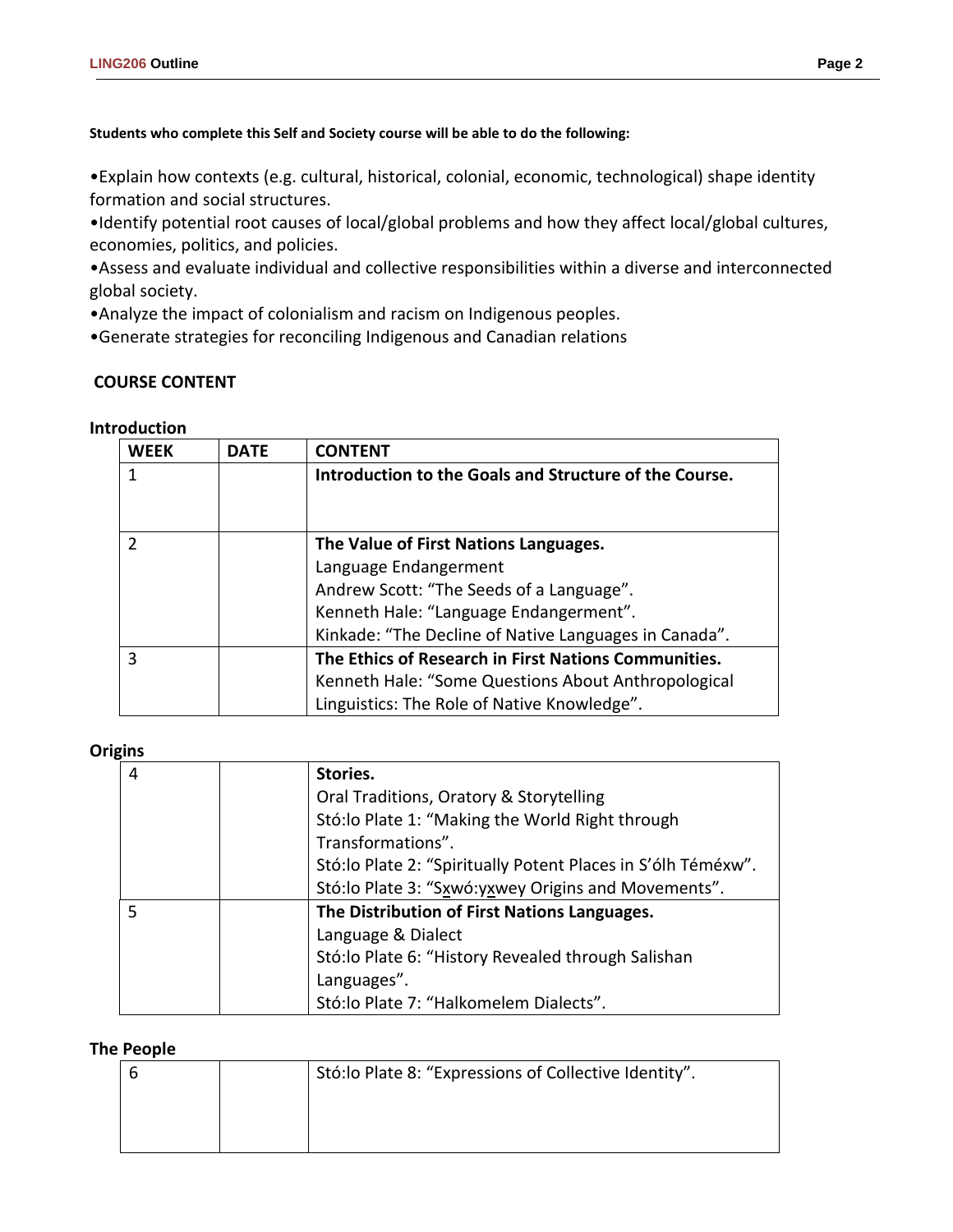**Students who complete this Self and Society course will be able to do the following:**

•Explain how contexts (e.g. cultural, historical, colonial, economic, technological) shape identity formation and social structures.

•Identify potential root causes of local/global problems and how they affect local/global cultures, economies, politics, and policies.

•Assess and evaluate individual and collective responsibilities within a diverse and interconnected global society.

•Analyze the impact of colonialism and racism on Indigenous peoples.

•Generate strategies for reconciling Indigenous and Canadian relations

# **COURSE CONTENT**

## **Introduction**

| WFFK | <b>DATE</b> | <b>CONTENT</b>                                         |  |
|------|-------------|--------------------------------------------------------|--|
|      |             | Introduction to the Goals and Structure of the Course. |  |
|      |             |                                                        |  |
|      |             |                                                        |  |
|      |             | The Value of First Nations Languages.                  |  |
|      |             | Language Endangerment                                  |  |
|      |             | Andrew Scott: "The Seeds of a Language".               |  |
|      |             | Kenneth Hale: "Language Endangerment".                 |  |
|      |             | Kinkade: "The Decline of Native Languages in Canada".  |  |
|      |             | The Ethics of Research in First Nations Communities.   |  |
|      |             | Kenneth Hale: "Some Questions About Anthropological    |  |
|      |             | Linguistics: The Role of Native Knowledge".            |  |

#### **Origins**

| 4 | Stories.                                                      |
|---|---------------------------------------------------------------|
|   | Oral Traditions, Oratory & Storytelling                       |
|   | Stó: lo Plate 1: "Making the World Right through              |
|   | Transformations".                                             |
|   | Stó: lo Plate 2: "Spiritually Potent Places in S'ólh Téméxw". |
|   | Stó: lo Plate 3: "Sxwó: yxwey Origins and Movements".         |
| 5 | The Distribution of First Nations Languages.                  |
|   | Language & Dialect                                            |
|   | Stó: lo Plate 6: "History Revealed through Salishan           |
|   | Languages".                                                   |
|   | Stó: lo Plate 7: "Halkomelem Dialects".                       |

#### **The People**

|  | Stó: lo Plate 8: "Expressions of Collective Identity". |  |  |
|--|--------------------------------------------------------|--|--|
|  |                                                        |  |  |
|  |                                                        |  |  |
|  |                                                        |  |  |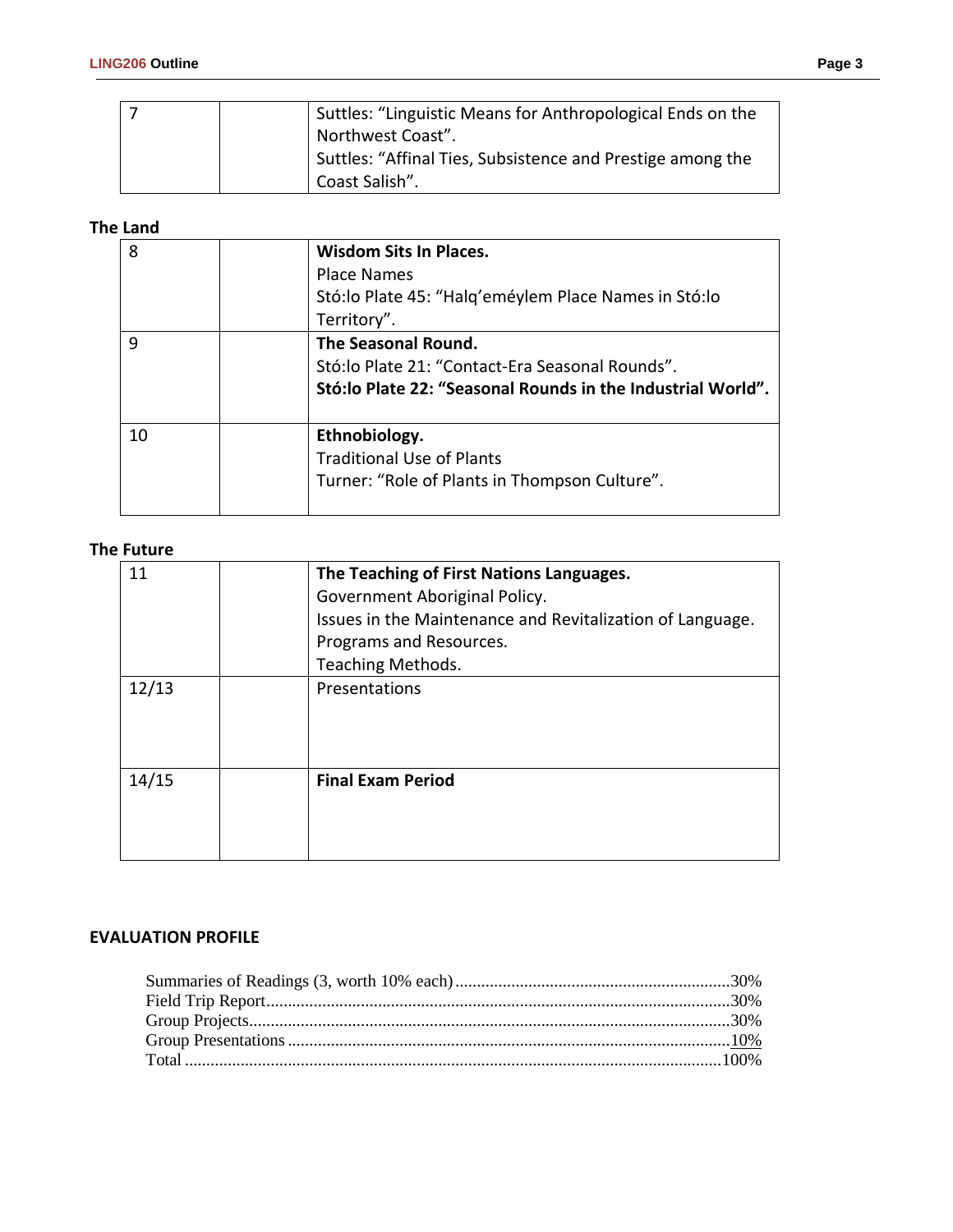|  | Suttles: "Linguistic Means for Anthropological Ends on the |
|--|------------------------------------------------------------|
|  | Northwest Coast".                                          |
|  | Suttles: "Affinal Ties, Subsistence and Prestige among the |
|  | Coast Salish".                                             |

## **The Land**

| 8  | <b>Wisdom Sits In Places.</b><br><b>Place Names</b><br>Stó: lo Plate 45: "Halg'eméylem Place Names in Stó: lo<br>Territory".            |
|----|-----------------------------------------------------------------------------------------------------------------------------------------|
| 9  | The Seasonal Round.<br>Stó: lo Plate 21: "Contact-Era Seasonal Rounds".<br>Stó: lo Plate 22: "Seasonal Rounds in the Industrial World". |
| 10 | Ethnobiology.<br><b>Traditional Use of Plants</b><br>Turner: "Role of Plants in Thompson Culture".                                      |

## **The Future**

| 11    | The Teaching of First Nations Languages.<br>Government Aboriginal Policy.<br>Issues in the Maintenance and Revitalization of Language.<br>Programs and Resources.<br><b>Teaching Methods.</b> |
|-------|-----------------------------------------------------------------------------------------------------------------------------------------------------------------------------------------------|
| 12/13 | Presentations                                                                                                                                                                                 |
| 14/15 | <b>Final Exam Period</b>                                                                                                                                                                      |

### **EVALUATION PROFILE**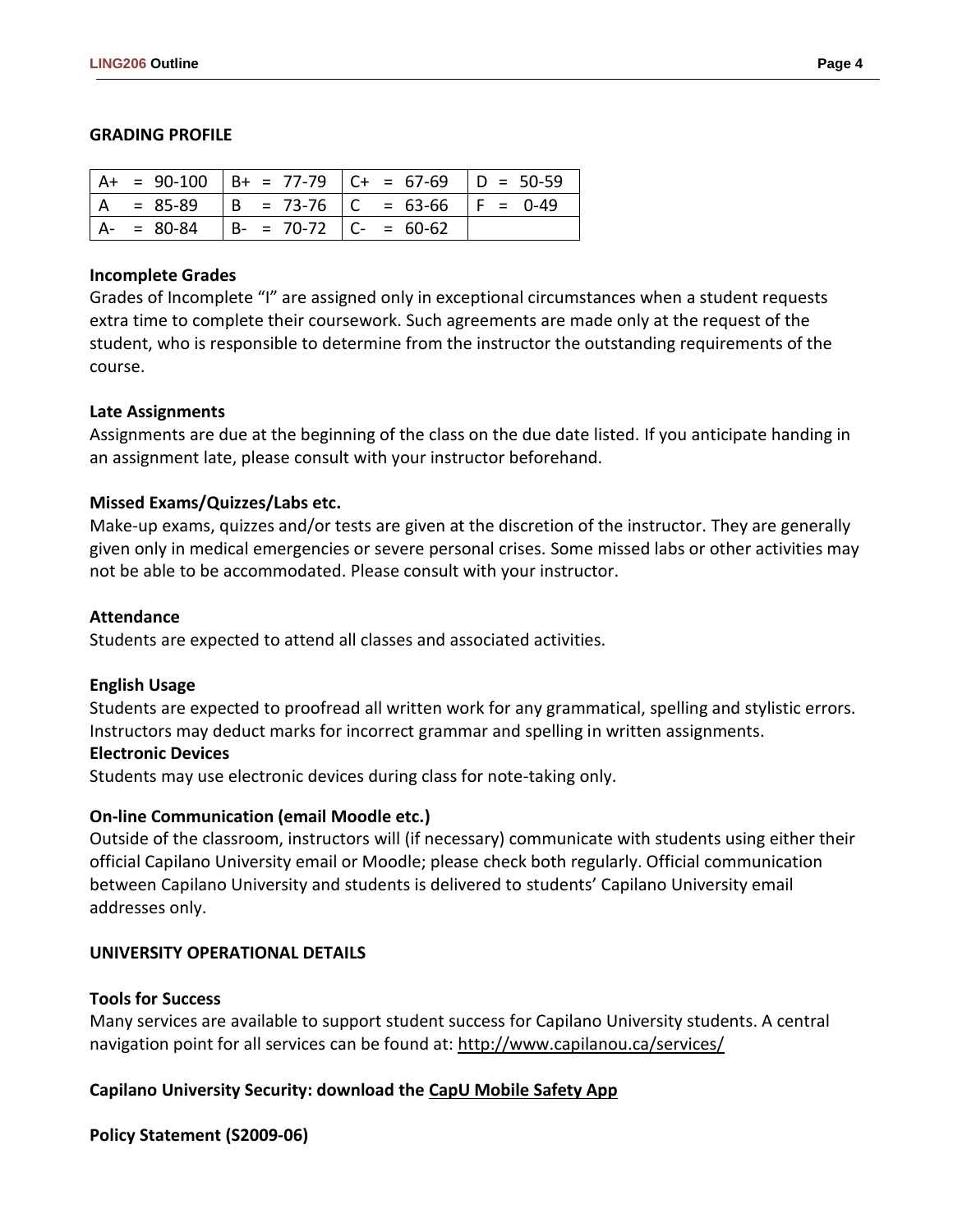#### **GRADING PROFILE**

|  |                                           | $  A + = 90-100   B + = 77-79   C + = 67-69   D = 50-59$ |  |
|--|-------------------------------------------|----------------------------------------------------------|--|
|  |                                           | $ A = 85-89$ $ B = 73-76$ $ C = 63-66$ $ F = 0-49$       |  |
|  | $ A- = 80-84$ $ B- = 70-72$ $ C- = 60-62$ |                                                          |  |

#### **Incomplete Grades**

Grades of Incomplete "I" are assigned only in exceptional circumstances when a student requests extra time to complete their coursework. Such agreements are made only at the request of the student, who is responsible to determine from the instructor the outstanding requirements of the course.

### **Late Assignments**

Assignments are due at the beginning of the class on the due date listed. If you anticipate handing in an assignment late, please consult with your instructor beforehand.

## **Missed Exams/Quizzes/Labs etc.**

Make-up exams, quizzes and/or tests are given at the discretion of the instructor. They are generally given only in medical emergencies or severe personal crises. Some missed labs or other activities may not be able to be accommodated. Please consult with your instructor.

#### **Attendance**

Students are expected to attend all classes and associated activities.

#### **English Usage**

Students are expected to proofread all written work for any grammatical, spelling and stylistic errors. Instructors may deduct marks for incorrect grammar and spelling in written assignments.

#### **Electronic Devices**

Students may use electronic devices during class for note-taking only.

## **On-line Communication (email Moodle etc.)**

Outside of the classroom, instructors will (if necessary) communicate with students using either their official Capilano University email or Moodle; please check both regularly. Official communication between Capilano University and students is delivered to students' Capilano University email addresses only.

## **UNIVERSITY OPERATIONAL DETAILS**

## **Tools for Success**

Many services are available to support student success for Capilano University students. A central navigation point for all services can be found at:<http://www.capilanou.ca/services/>

## **Capilano University Security: download the [CapU Mobile Safety App](https://www.capilanou.ca/services/safety-security/CapU-Mobile-Safety-App/)**

**Policy Statement (S2009-06)**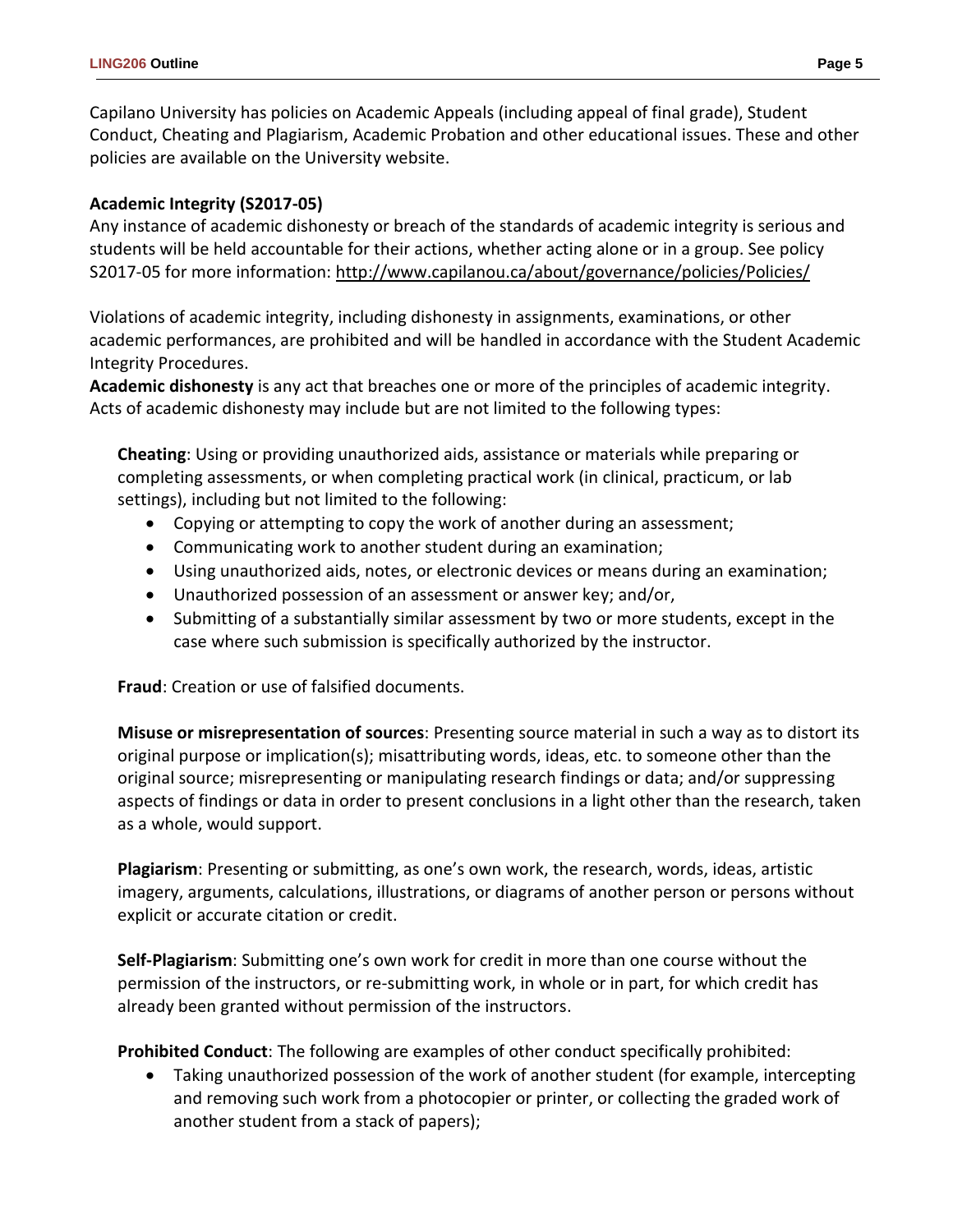Capilano University has policies on Academic Appeals (including appeal of final grade), Student Conduct, Cheating and Plagiarism, Academic Probation and other educational issues. These and other policies are available on the University website.

# **Academic Integrity (S2017-05)**

Any instance of academic dishonesty or breach of the standards of academic integrity is serious and students will be held accountable for their actions, whether acting alone or in a group. See policy S2017-05 for more information:<http://www.capilanou.ca/about/governance/policies/Policies/>

Violations of academic integrity, including dishonesty in assignments, examinations, or other academic performances, are prohibited and will be handled in accordance with the Student Academic Integrity Procedures.

**Academic dishonesty** is any act that breaches one or more of the principles of academic integrity. Acts of academic dishonesty may include but are not limited to the following types:

**Cheating**: Using or providing unauthorized aids, assistance or materials while preparing or completing assessments, or when completing practical work (in clinical, practicum, or lab settings), including but not limited to the following:

- Copying or attempting to copy the work of another during an assessment;
- Communicating work to another student during an examination;
- Using unauthorized aids, notes, or electronic devices or means during an examination;
- Unauthorized possession of an assessment or answer key; and/or,
- Submitting of a substantially similar assessment by two or more students, except in the case where such submission is specifically authorized by the instructor.

**Fraud**: Creation or use of falsified documents.

**Misuse or misrepresentation of sources**: Presenting source material in such a way as to distort its original purpose or implication(s); misattributing words, ideas, etc. to someone other than the original source; misrepresenting or manipulating research findings or data; and/or suppressing aspects of findings or data in order to present conclusions in a light other than the research, taken as a whole, would support.

**Plagiarism**: Presenting or submitting, as one's own work, the research, words, ideas, artistic imagery, arguments, calculations, illustrations, or diagrams of another person or persons without explicit or accurate citation or credit.

**Self-Plagiarism**: Submitting one's own work for credit in more than one course without the permission of the instructors, or re-submitting work, in whole or in part, for which credit has already been granted without permission of the instructors.

**Prohibited Conduct**: The following are examples of other conduct specifically prohibited:

• Taking unauthorized possession of the work of another student (for example, intercepting and removing such work from a photocopier or printer, or collecting the graded work of another student from a stack of papers);